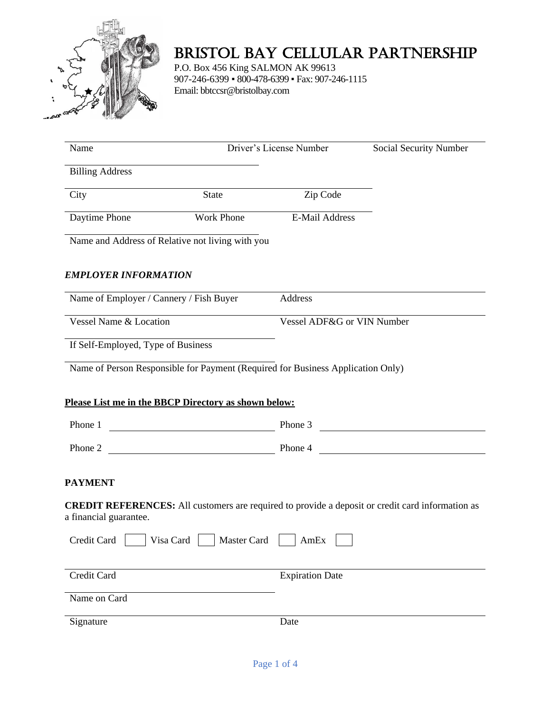

# BRISTOL BAY CELLULAR PARTNERSHIP

P.O. Box 456 King SALMON AK 99613 907-246-6399 ▪ 800-478-6399 ▪ Fax: 907-246-1115 Email: bbtccsr@bristolbay.com

| Name                                                                            |       | Driver's License Number    | Social Security Number                                                                                  |
|---------------------------------------------------------------------------------|-------|----------------------------|---------------------------------------------------------------------------------------------------------|
| <b>Billing Address</b>                                                          |       |                            |                                                                                                         |
| City                                                                            | State | Zip Code                   |                                                                                                         |
| Daytime Phone                                                                   |       | Work Phone E-Mail Address  |                                                                                                         |
| Name and Address of Relative not living with you                                |       |                            |                                                                                                         |
| <b>EMPLOYER INFORMATION</b>                                                     |       |                            |                                                                                                         |
| Name of Employer / Cannery / Fish Buyer                                         |       | Address                    |                                                                                                         |
| Vessel Name & Location                                                          |       | Vessel ADF&G or VIN Number |                                                                                                         |
| If Self-Employed, Type of Business                                              |       |                            |                                                                                                         |
| Name of Person Responsible for Payment (Required for Business Application Only) |       |                            |                                                                                                         |
|                                                                                 |       |                            |                                                                                                         |
|                                                                                 |       |                            |                                                                                                         |
| Please List me in the BBCP Directory as shown below:                            |       |                            |                                                                                                         |
| Phone 1                                                                         |       |                            | Phone 3                                                                                                 |
|                                                                                 |       |                            | Phone 2                                                                                                 |
| <b>PAYMENT</b>                                                                  |       |                            |                                                                                                         |
| a financial guarantee.                                                          |       |                            |                                                                                                         |
| Credit Card Visa Card Master Card AmEx                                          |       |                            |                                                                                                         |
| Credit Card                                                                     |       | <b>Expiration Date</b>     |                                                                                                         |
| Name on Card                                                                    |       |                            | <b>CREDIT REFERENCES:</b> All customers are required to provide a deposit or credit card information as |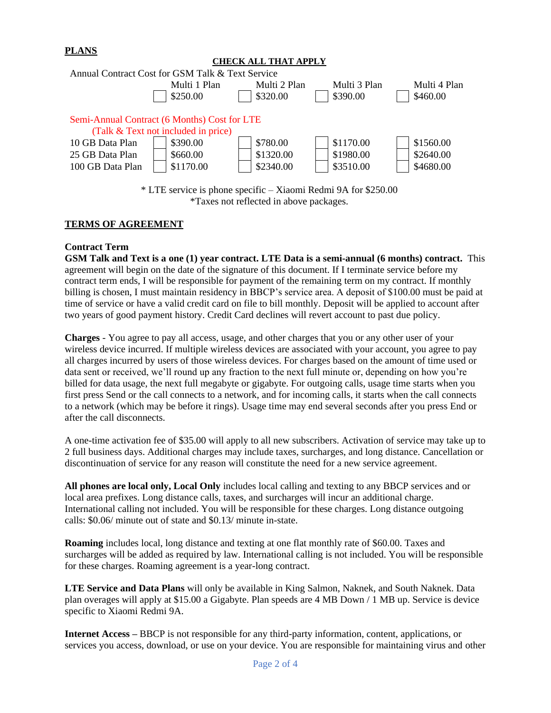# **PLANS**

| CHECK ALL THAT APPLY                                           |                                              |              |              |              |  |  |  |
|----------------------------------------------------------------|----------------------------------------------|--------------|--------------|--------------|--|--|--|
| Annual Contract Cost for GSM Talk & Text Service               |                                              |              |              |              |  |  |  |
|                                                                | Multi 1 Plan                                 | Multi 2 Plan | Multi 3 Plan | Multi 4 Plan |  |  |  |
|                                                                | \$250.00                                     | \$320.00     | \$390.00     | \$460.00     |  |  |  |
|                                                                |                                              |              |              |              |  |  |  |
|                                                                | Semi-Annual Contract (6 Months) Cost for LTE |              |              |              |  |  |  |
|                                                                | (Talk & Text not included in price)          |              |              |              |  |  |  |
| 10 GB Data Plan                                                | \$390.00                                     | \$780.00     | \$1170.00    | \$1560.00    |  |  |  |
| 25 GB Data Plan                                                | \$660.00                                     | \$1320.00    | \$1980.00    | \$2640.00    |  |  |  |
| 100 GB Data Plan                                               | \$1170.00                                    | \$2340.00    | \$3510.00    | \$4680.00    |  |  |  |
|                                                                |                                              |              |              |              |  |  |  |
| * LTE service is phone specific – Xiaomi Redmi 9A for \$250.00 |                                              |              |              |              |  |  |  |
| <i>*Taxes</i> not reflected in above packages.                 |                                              |              |              |              |  |  |  |

## **TERMS OF AGREEMENT**

## **Contract Term**

**GSM Talk and Text is a one (1) year contract. LTE Data is a semi-annual (6 months) contract.** This agreement will begin on the date of the signature of this document. If I terminate service before my contract term ends, I will be responsible for payment of the remaining term on my contract. If monthly billing is chosen, I must maintain residency in BBCP's service area. A deposit of \$100.00 must be paid at time of service or have a valid credit card on file to bill monthly. Deposit will be applied to account after two years of good payment history. Credit Card declines will revert account to past due policy.

**Charges** - You agree to pay all access, usage, and other charges that you or any other user of your wireless device incurred. If multiple wireless devices are associated with your account, you agree to pay all charges incurred by users of those wireless devices. For charges based on the amount of time used or data sent or received, we'll round up any fraction to the next full minute or, depending on how you're billed for data usage, the next full megabyte or gigabyte. For outgoing calls, usage time starts when you first press Send or the call connects to a network, and for incoming calls, it starts when the call connects to a network (which may be before it rings). Usage time may end several seconds after you press End or after the call disconnects.

A one-time activation fee of \$35.00 will apply to all new subscribers. Activation of service may take up to 2 full business days. Additional charges may include taxes, surcharges, and long distance. Cancellation or discontinuation of service for any reason will constitute the need for a new service agreement.

**All phones are local only, Local Only** includes local calling and texting to any BBCP services and or local area prefixes. Long distance calls, taxes, and surcharges will incur an additional charge. International calling not included. You will be responsible for these charges. Long distance outgoing calls: \$0.06/ minute out of state and \$0.13/ minute in-state.

**Roaming** includes local, long distance and texting at one flat monthly rate of \$60.00. Taxes and surcharges will be added as required by law. International calling is not included. You will be responsible for these charges. Roaming agreement is a year-long contract.

**LTE Service and Data Plans** will only be available in King Salmon, Naknek, and South Naknek. Data plan overages will apply at \$15.00 a Gigabyte. Plan speeds are 4 MB Down / 1 MB up. Service is device specific to Xiaomi Redmi 9A.

**Internet Access –** BBCP is not responsible for any third-party information, content, applications, or services you access, download, or use on your device. You are responsible for maintaining virus and other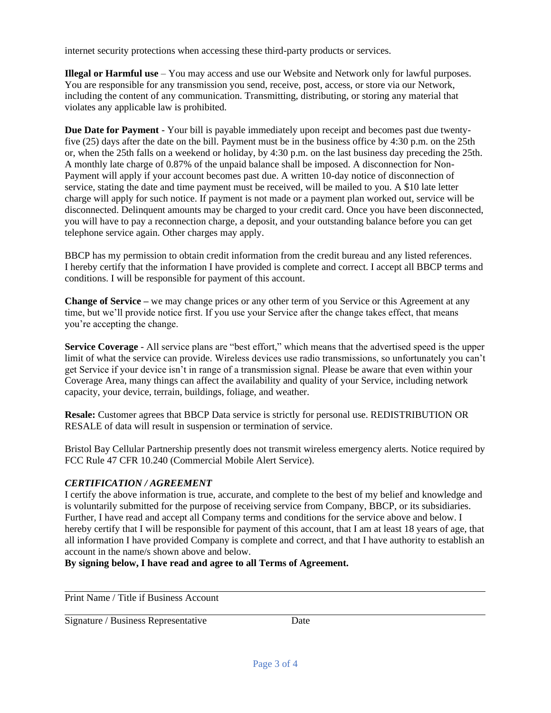internet security protections when accessing these third-party products or services.

**Illegal or Harmful use** – You may access and use our Website and Network only for lawful purposes. You are responsible for any transmission you send, receive, post, access, or store via our Network, including the content of any communication. Transmitting, distributing, or storing any material that violates any applicable law is prohibited.

**Due Date for Payment** - Your bill is payable immediately upon receipt and becomes past due twentyfive (25) days after the date on the bill. Payment must be in the business office by 4:30 p.m. on the 25th or, when the 25th falls on a weekend or holiday, by 4:30 p.m. on the last business day preceding the 25th. A monthly late charge of 0.87% of the unpaid balance shall be imposed. A disconnection for Non-Payment will apply if your account becomes past due. A written 10-day notice of disconnection of service, stating the date and time payment must be received, will be mailed to you. A \$10 late letter charge will apply for such notice. If payment is not made or a payment plan worked out, service will be disconnected. Delinquent amounts may be charged to your credit card. Once you have been disconnected, you will have to pay a reconnection charge, a deposit, and your outstanding balance before you can get telephone service again. Other charges may apply.

BBCP has my permission to obtain credit information from the credit bureau and any listed references. I hereby certify that the information I have provided is complete and correct. I accept all BBCP terms and conditions. I will be responsible for payment of this account.

**Change of Service –** we may change prices or any other term of you Service or this Agreement at any time, but we'll provide notice first. If you use your Service after the change takes effect, that means you're accepting the change.

**Service Coverage** - All service plans are "best effort," which means that the advertised speed is the upper limit of what the service can provide. Wireless devices use radio transmissions, so unfortunately you can't get Service if your device isn't in range of a transmission signal. Please be aware that even within your Coverage Area, many things can affect the availability and quality of your Service, including network capacity, your device, terrain, buildings, foliage, and weather.

**Resale:** Customer agrees that BBCP Data service is strictly for personal use. REDISTRIBUTION OR RESALE of data will result in suspension or termination of service.

Bristol Bay Cellular Partnership presently does not transmit wireless emergency alerts. Notice required by FCC Rule 47 CFR 10.240 (Commercial Mobile Alert Service).

# *CERTIFICATION / AGREEMENT*

I certify the above information is true, accurate, and complete to the best of my belief and knowledge and is voluntarily submitted for the purpose of receiving service from Company, BBCP, or its subsidiaries. Further, I have read and accept all Company terms and conditions for the service above and below. I hereby certify that I will be responsible for payment of this account, that I am at least 18 years of age, that all information I have provided Company is complete and correct, and that I have authority to establish an account in the name/s shown above and below.

**By signing below, I have read and agree to all Terms of Agreement.**

Print Name / Title if Business Account

Signature / Business Representative Date